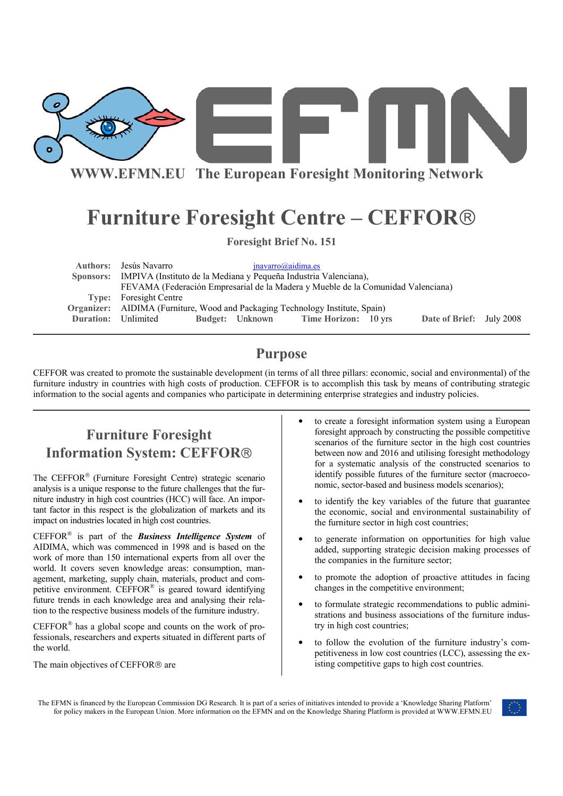

**WWW.EFMN.EU The European Foresight Monitoring Network**

# **Furniture Foresight Centre – CEFFOR**

**Foresight Brief No. 151** 

| Authors: Jesús Navarro                                                        |                        |  | inavarro@aidima.es                                                               |  |                          |  |
|-------------------------------------------------------------------------------|------------------------|--|----------------------------------------------------------------------------------|--|--------------------------|--|
| Sponsors: IMPIVA (Instituto de la Mediana y Pequeña Industria Valenciana),    |                        |  |                                                                                  |  |                          |  |
|                                                                               |                        |  | FEVAMA (Federación Empresarial de la Madera y Mueble de la Comunidad Valenciana) |  |                          |  |
| <b>Type:</b> Foresight Centre                                                 |                        |  |                                                                                  |  |                          |  |
| Organizer: AIDIMA (Furniture, Wood and Packaging Technology Institute, Spain) |                        |  |                                                                                  |  |                          |  |
| <b>Duration:</b> Unlimited                                                    | <b>Budget:</b> Unknown |  | <b>Time Horizon:</b> 10 yrs                                                      |  | Date of Brief: July 2008 |  |
|                                                                               |                        |  |                                                                                  |  |                          |  |

### **Purpose**

CEFFOR was created to promote the sustainable development (in terms of all three pillars: economic, social and environmental) of the furniture industry in countries with high costs of production. CEFFOR is to accomplish this task by means of contributing strategic information to the social agents and companies who participate in determining enterprise strategies and industry policies.

# **Furniture Foresight Information System: CEFFOR**

The CEFFOR<sup>®</sup> (Furniture Foresight Centre) strategic scenario analysis is a unique response to the future challenges that the furniture industry in high cost countries (HCC) will face. An important factor in this respect is the globalization of markets and its impact on industries located in high cost countries.

CEFFOR® is part of the *Business Intelligence System* of AIDIMA, which was commenced in 1998 and is based on the work of more than 150 international experts from all over the world. It covers seven knowledge areas: consumption, management, marketing, supply chain, materials, product and competitive environment. CEFFOR® is geared toward identifying future trends in each knowledge area and analysing their relation to the respective business models of the furniture industry.

CEFFOR® has a global scope and counts on the work of professionals, researchers and experts situated in different parts of the world.

The main objectives of CEFFOR<sup>®</sup> are

- to create a foresight information system using a European foresight approach by constructing the possible competitive scenarios of the furniture sector in the high cost countries between now and 2016 and utilising foresight methodology for a systematic analysis of the constructed scenarios to identify possible futures of the furniture sector (macroeconomic, sector-based and business models scenarios);
- to identify the key variables of the future that guarantee the economic, social and environmental sustainability of the furniture sector in high cost countries;
- to generate information on opportunities for high value added, supporting strategic decision making processes of the companies in the furniture sector;
- to promote the adoption of proactive attitudes in facing changes in the competitive environment;
- to formulate strategic recommendations to public administrations and business associations of the furniture industry in high cost countries;
- to follow the evolution of the furniture industry's competitiveness in low cost countries (LCC), assessing the existing competitive gaps to high cost countries.

The EFMN is financed by the European Commission DG Research. It is part of a series of initiatives intended to provide a 'Knowledge Sharing Platform' for policy makers in the European Union. More information on the EFMN and on the Knowledge Sharing Platform is provided at WWW.EFMN.EU

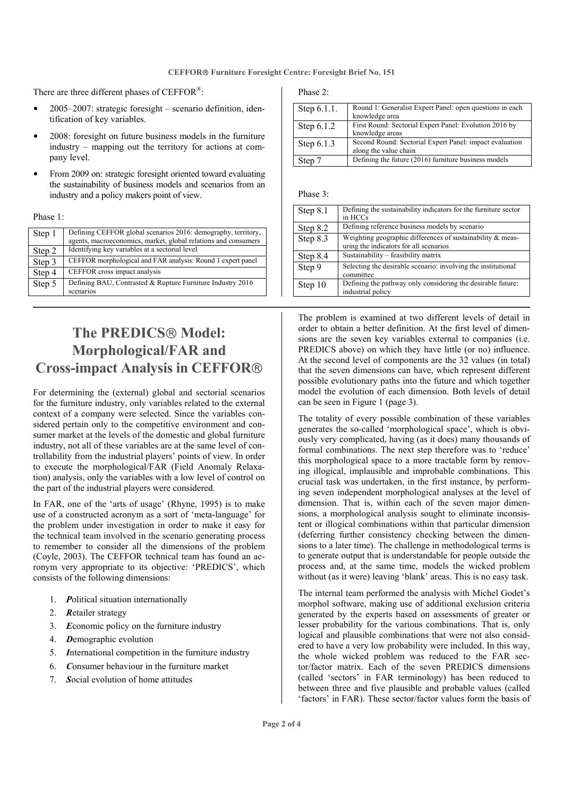There are three different phases of CEFFOR<sup>®</sup>:

- 2005–2007: strategic foresight scenario definition, identification of key variables.
- 2008: foresight on future business models in the furniture industry – mapping out the territory for actions at company level.
- From 2009 on: strategic foresight oriented toward evaluating the sustainability of business models and scenarios from an industry and a policy makers point of view.

Phase 1:

| Step 1 | Defining CEFFOR global scenarios 2016: demography, territory,<br>agents, macroeconomics, market, global relations and consumers |
|--------|---------------------------------------------------------------------------------------------------------------------------------|
| Step 2 | Identifying key variables at a sectorial level                                                                                  |
| Step 3 | CEFFOR morphological and FAR analysis: Round 1 expert panel                                                                     |
| Step 4 | CEFFOR cross impact analysis                                                                                                    |
| Step 5 | Defining BAU, Contrasted & Rupture Furniture Industry 2016<br>scenarios                                                         |

# **The PREDICS Model: Morphological/FAR and Cross-impact Analysis in CEFFOR**

For determining the (external) global and sectorial scenarios for the furniture industry, only variables related to the external context of a company were selected. Since the variables considered pertain only to the competitive environment and consumer market at the levels of the domestic and global furniture industry, not all of these variables are at the same level of controllability from the industrial players' points of view. In order to execute the morphological/FAR (Field Anomaly Relaxation) analysis, only the variables with a low level of control on the part of the industrial players were considered.

In FAR, one of the 'arts of usage' (Rhyne, 1995) is to make use of a constructed acronym as a sort of 'meta-language' for the problem under investigation in order to make it easy for the technical team involved in the scenario generating process to remember to consider all the dimensions of the problem (Coyle, 2003). The CEFFOR technical team has found an acronym very appropriate to its objective: 'PREDICS', which consists of the following dimensions:

- 1. *P*olitical situation internationally
- 2. *R*etailer strategy
- 3. *E*conomic policy on the furniture industry
- 4. *D*emographic evolution
- 5. *I*nternational competition in the furniture industry
- 6. *C*onsumer behaviour in the furniture market
- 7. *S*ocial evolution of home attitudes

Phase 2:

| Step 6.1.1.  | Round 1: Generalist Expert Panel: open questions in each |
|--------------|----------------------------------------------------------|
|              | knowledge area                                           |
| Step $6.1.2$ | First Round: Sectorial Expert Panel: Evolution 2016 by   |
|              | knowledge areas                                          |
| Step 6.1.3   | Second Round: Sectorial Expert Panel: impact evaluation  |
|              | along the value chain                                    |
| Step 1       | Defining the future (2016) furniture business models     |

#### Phase 3:

| Step 8.1 | Defining the sustainability indicators for the furniture sector<br>in HCCs                           |
|----------|------------------------------------------------------------------------------------------------------|
| Step 8.2 | Defining reference business models by scenario                                                       |
| Step 8.3 | Weighting geographic differences of sustainability & meas-<br>uring the indicators for all scenarios |
|          |                                                                                                      |
| Step 8.4 | Sustainability – feasibility matrix                                                                  |
| Step 9   | Selecting the desirable scenario: involving the institutional<br>committee                           |
| Step 10  | Defining the pathway only considering the desirable future:<br>industrial policy                     |

The problem is examined at two different levels of detail in order to obtain a better definition. At the first level of dimensions are the seven key variables external to companies (i.e. PREDICS above) on which they have little (or no) influence. At the second level of components are the 32 values (in total) that the seven dimensions can have, which represent different possible evolutionary paths into the future and which together model the evolution of each dimension. Both levels of detail can be seen in Figure 1 (page 3).

The totality of every possible combination of these variables generates the so-called 'morphological space', which is obviously very complicated, having (as it does) many thousands of formal combinations. The next step therefore was to 'reduce' this morphological space to a more tractable form by removing illogical, implausible and improbable combinations. This crucial task was undertaken, in the first instance, by performing seven independent morphological analyses at the level of dimension. That is, within each of the seven major dimensions, a morphological analysis sought to eliminate inconsistent or illogical combinations within that particular dimension (deferring further consistency checking between the dimensions to a later time). The challenge in methodological terms is to generate output that is understandable for people outside the process and, at the same time, models the wicked problem without (as it were) leaving 'blank' areas. This is no easy task.

The internal team performed the analysis with Michel Godet's morphol software, making use of additional exclusion criteria generated by the experts based on assessments of greater or lesser probability for the various combinations. That is, only logical and plausible combinations that were not also considered to have a very low probability were included. In this way, the whole wicked problem was reduced to the FAR sector/factor matrix. Each of the seven PREDICS dimensions (called 'sectors' in FAR terminology) has been reduced to between three and five plausible and probable values (called 'factors' in FAR). These sector/factor values form the basis of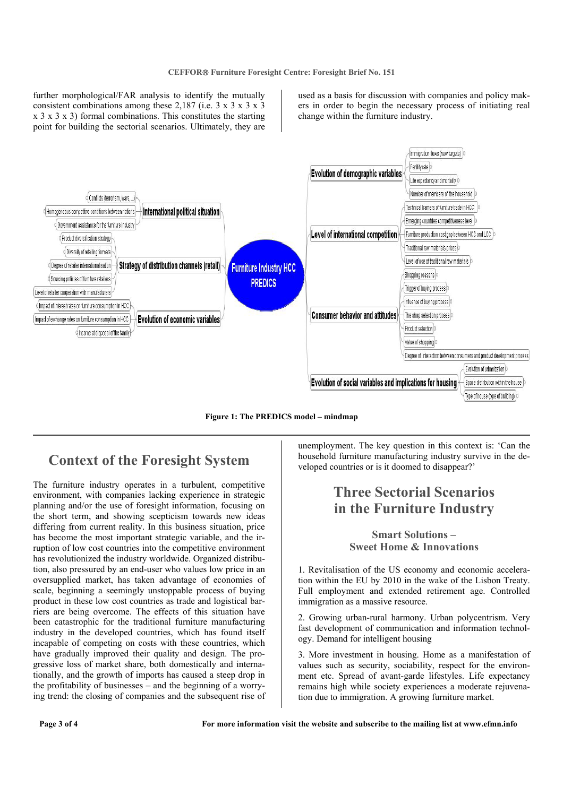further morphological/FAR analysis to identify the mutually consistent combinations among these 2,187 (i.e.  $3 \times 3 \times 3 \times 3$ ) x 3 x 3 x 3) formal combinations. This constitutes the starting point for building the sectorial scenarios. Ultimately, they are

used as a basis for discussion with companies and policy makers in order to begin the necessary process of initiating real change within the furniture industry.



**Figure 1: The PREDICS model – mindmap** 

### **Context of the Foresight System**

The furniture industry operates in a turbulent, competitive environment, with companies lacking experience in strategic planning and/or the use of foresight information, focusing on the short term, and showing scepticism towards new ideas differing from current reality. In this business situation, price has become the most important strategic variable, and the irruption of low cost countries into the competitive environment has revolutionized the industry worldwide. Organized distribution, also pressured by an end-user who values low price in an oversupplied market, has taken advantage of economies of scale, beginning a seemingly unstoppable process of buying product in these low cost countries as trade and logistical barriers are being overcome. The effects of this situation have been catastrophic for the traditional furniture manufacturing industry in the developed countries, which has found itself incapable of competing on costs with these countries, which have gradually improved their quality and design. The progressive loss of market share, both domestically and internationally, and the growth of imports has caused a steep drop in the profitability of businesses – and the beginning of a worrying trend: the closing of companies and the subsequent rise of

unemployment. The key question in this context is: 'Can the household furniture manufacturing industry survive in the developed countries or is it doomed to disappear?'

## **Three Sectorial Scenarios in the Furniture Industry**

**Smart Solutions – Sweet Home & Innovations** 

1. Revitalisation of the US economy and economic acceleration within the EU by 2010 in the wake of the Lisbon Treaty. Full employment and extended retirement age. Controlled immigration as a massive resource.

2. Growing urban-rural harmony. Urban polycentrism. Very fast development of communication and information technology. Demand for intelligent housing

3. More investment in housing. Home as a manifestation of values such as security, sociability, respect for the environment etc. Spread of avant-garde lifestyles. Life expectancy remains high while society experiences a moderate rejuvenation due to immigration. A growing furniture market.